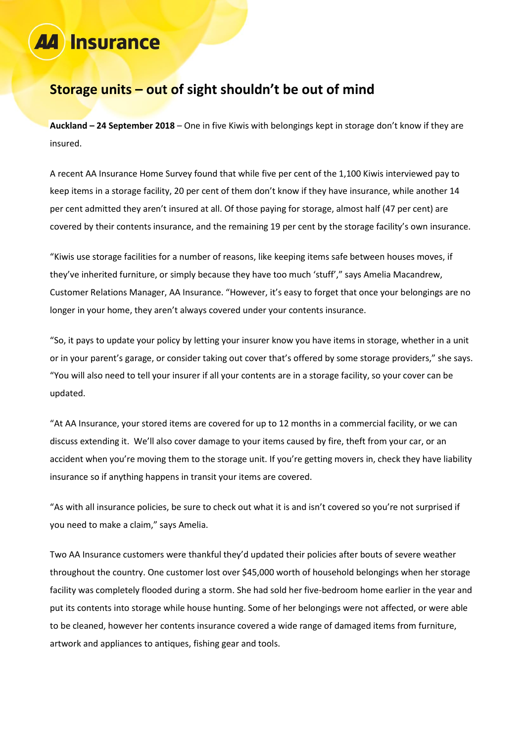# **Insurance**

### **Storage units – out of sight shouldn't be out of mind**

**Auckland – 24 September 2018** – One in five Kiwis with belongings kept in storage don't know if they are insured.

A recent AA Insurance Home Survey found that while five per cent of the 1,100 Kiwis interviewed pay to keep items in a storage facility, 20 per cent of them don't know if they have insurance, while another 14 per cent admitted they aren't insured at all. Of those paying for storage, almost half (47 per cent) are covered by their contents insurance, and the remaining 19 per cent by the storage facility's own insurance.

"Kiwis use storage facilities for a number of reasons, like keeping items safe between houses moves, if they've inherited furniture, or simply because they have too much 'stuff'," says Amelia Macandrew, Customer Relations Manager, AA Insurance. "However, it's easy to forget that once your belongings are no longer in your home, they aren't always covered under your contents insurance.

"So, it pays to update your policy by letting your insurer know you have items in storage, whether in a unit or in your parent's garage, or consider taking out cover that's offered by some storage providers," she says. "You will also need to tell your insurer if all your contents are in a storage facility, so your cover can be updated.

"At AA Insurance, your stored items are covered for up to 12 months in a commercial facility, or we can discuss extending it. We'll also cover damage to your items caused by fire, theft from your car, or an accident when you're moving them to the storage unit. If you're getting movers in, check they have liability insurance so if anything happens in transit your items are covered.

"As with all insurance policies, be sure to check out what it is and isn't covered so you're not surprised if you need to make a claim," says Amelia.

Two AA Insurance customers were thankful they'd updated their policies after bouts of severe weather throughout the country. One customer lost over \$45,000 worth of household belongings when her storage facility was completely flooded during a storm. She had sold her five-bedroom home earlier in the year and put its contents into storage while house hunting. Some of her belongings were not affected, or were able to be cleaned, however her contents insurance covered a wide range of damaged items from furniture, artwork and appliances to antiques, fishing gear and tools.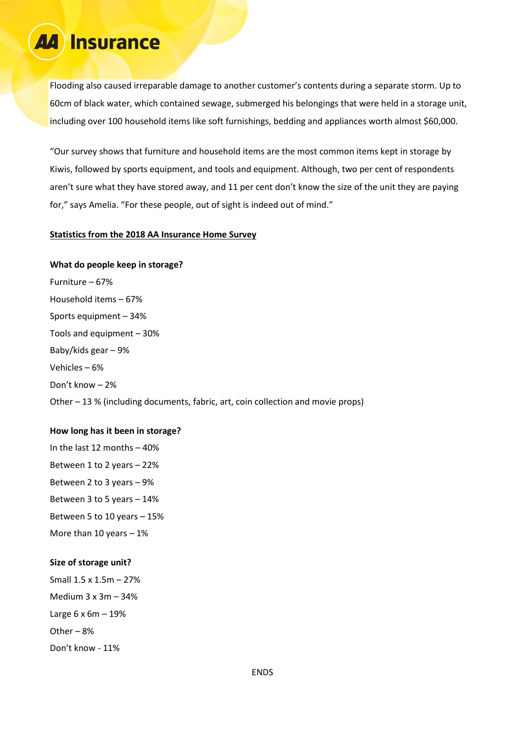## **Insurance**

Flooding also caused irreparable damage to another customer's contents during a separate storm. Up to 60cm of black water, which contained sewage, submerged his belongings that were held in a storage unit, including over 100 household items like soft furnishings, bedding and appliances worth almost \$60,000.

"Our survey shows that furniture and household items are the most common items kept in storage by Kiwis, followed by sports equipment, and tools and equipment. Although, two per cent of respondents aren't sure what they have stored away, and 11 per cent don't know the size of the unit they are paying for," says Amelia. "For these people, out of sight is indeed out of mind."

#### **Statistics from the 2018 AA Insurance Home Survey**

**What do people keep in storage?** Furniture – 67% Household items – 67% Sports equipment – 34% Tools and equipment – 30% Baby/kids gear – 9% Vehicles – 6% Don't know – 2% Other – 13 % (including documents, fabric, art, coin collection and movie props)

#### **How long has it been in storage?**

In the last 12 months – 40% Between 1 to 2 years – 22% Between 2 to 3 years – 9% Between 3 to 5 years – 14% Between 5 to 10 years – 15% More than 10 years  $-1\%$ 

#### **Size of storage unit?**

Small 1.5 x 1.5m – 27% Medium 3 x 3m – 34% Large 6 x 6m – 19% Other – 8% Don't know - 11%